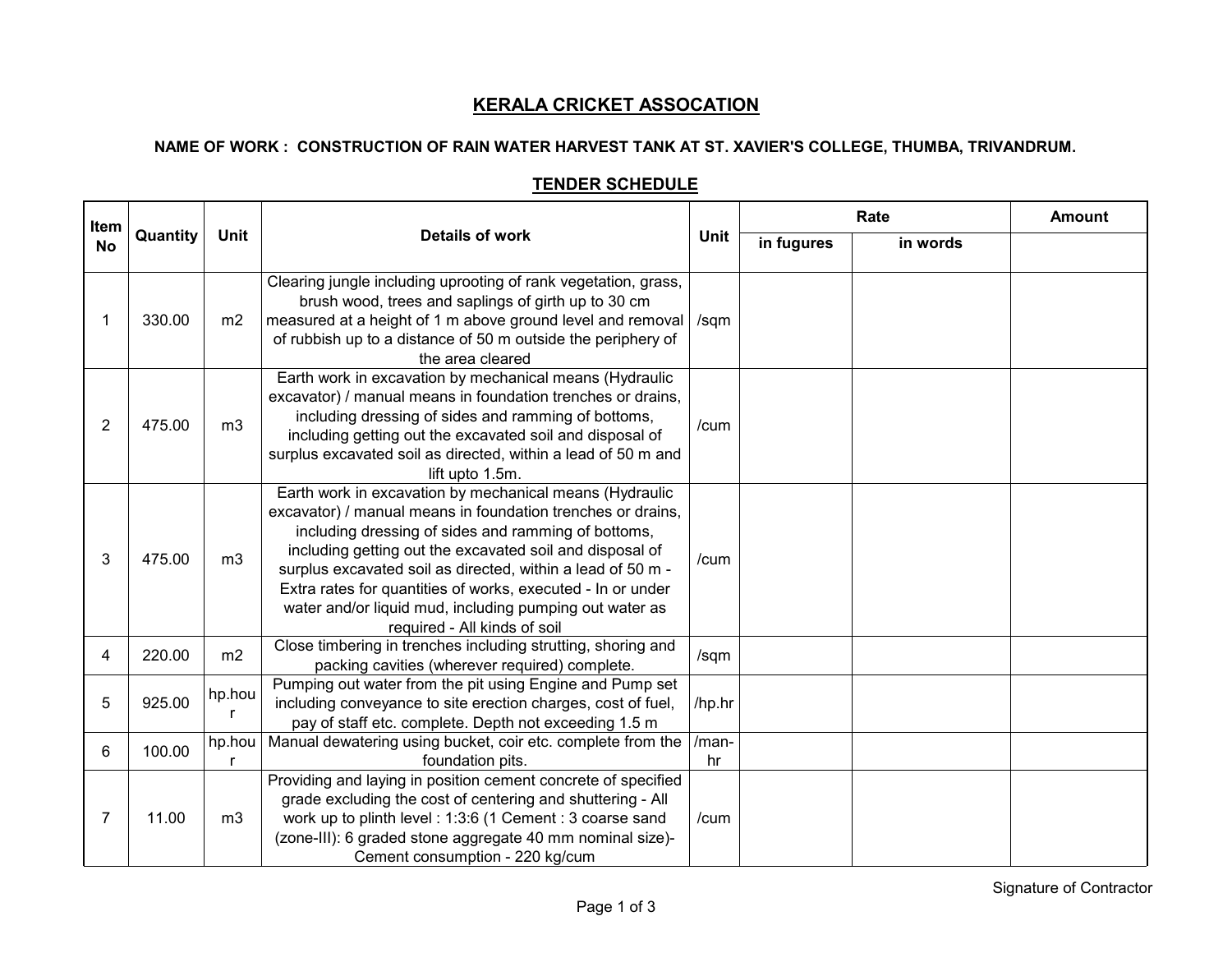## **KERALA CRICKET ASSOCATION**

## **NAME OF WORK : CONSTRUCTION OF RAIN WATER HARVEST TANK AT ST. XAVIER'S COLLEGE, THUMBA, TRIVANDRUM.**

| Item<br><b>No</b> | Quantity | <b>Unit</b>    | <b>Details of work</b>                                                                                                                                                                                                                                                                                                                                                                                                                                             | Unit        | Rate       |          | <b>Amount</b> |
|-------------------|----------|----------------|--------------------------------------------------------------------------------------------------------------------------------------------------------------------------------------------------------------------------------------------------------------------------------------------------------------------------------------------------------------------------------------------------------------------------------------------------------------------|-------------|------------|----------|---------------|
|                   |          |                |                                                                                                                                                                                                                                                                                                                                                                                                                                                                    |             | in fugures | in words |               |
| 1                 | 330.00   | m2             | Clearing jungle including uprooting of rank vegetation, grass,<br>brush wood, trees and saplings of girth up to 30 cm<br>measured at a height of 1 m above ground level and removal<br>of rubbish up to a distance of 50 m outside the periphery of<br>the area cleared                                                                                                                                                                                            | /sqm        |            |          |               |
| 2                 | 475.00   | m <sub>3</sub> | Earth work in excavation by mechanical means (Hydraulic<br>excavator) / manual means in foundation trenches or drains,<br>including dressing of sides and ramming of bottoms,<br>including getting out the excavated soil and disposal of<br>surplus excavated soil as directed, within a lead of 50 m and<br>lift upto 1.5m.                                                                                                                                      | /cum        |            |          |               |
| 3                 | 475.00   | m <sub>3</sub> | Earth work in excavation by mechanical means (Hydraulic<br>excavator) / manual means in foundation trenches or drains,<br>including dressing of sides and ramming of bottoms,<br>including getting out the excavated soil and disposal of<br>surplus excavated soil as directed, within a lead of 50 m -<br>Extra rates for quantities of works, executed - In or under<br>water and/or liquid mud, including pumping out water as<br>required - All kinds of soil | /cum        |            |          |               |
| 4                 | 220.00   | m2             | Close timbering in trenches including strutting, shoring and<br>packing cavities (wherever required) complete.                                                                                                                                                                                                                                                                                                                                                     | /sqm        |            |          |               |
| 5                 | 925.00   | hp.hou         | Pumping out water from the pit using Engine and Pump set<br>including conveyance to site erection charges, cost of fuel,<br>pay of staff etc. complete. Depth not exceeding 1.5 m                                                                                                                                                                                                                                                                                  | /hp.hr      |            |          |               |
| 6                 | 100.00   | hp.hou         | Manual dewatering using bucket, coir etc. complete from the<br>foundation pits.                                                                                                                                                                                                                                                                                                                                                                                    | /man-<br>hr |            |          |               |
| 7                 | 11.00    | m <sub>3</sub> | Providing and laying in position cement concrete of specified<br>grade excluding the cost of centering and shuttering - All<br>work up to plinth level: 1:3:6 (1 Cement: 3 coarse sand<br>(zone-III): 6 graded stone aggregate 40 mm nominal size)-<br>Cement consumption - 220 kg/cum                                                                                                                                                                             | /cum        |            |          |               |

## **TENDER SCHEDULE**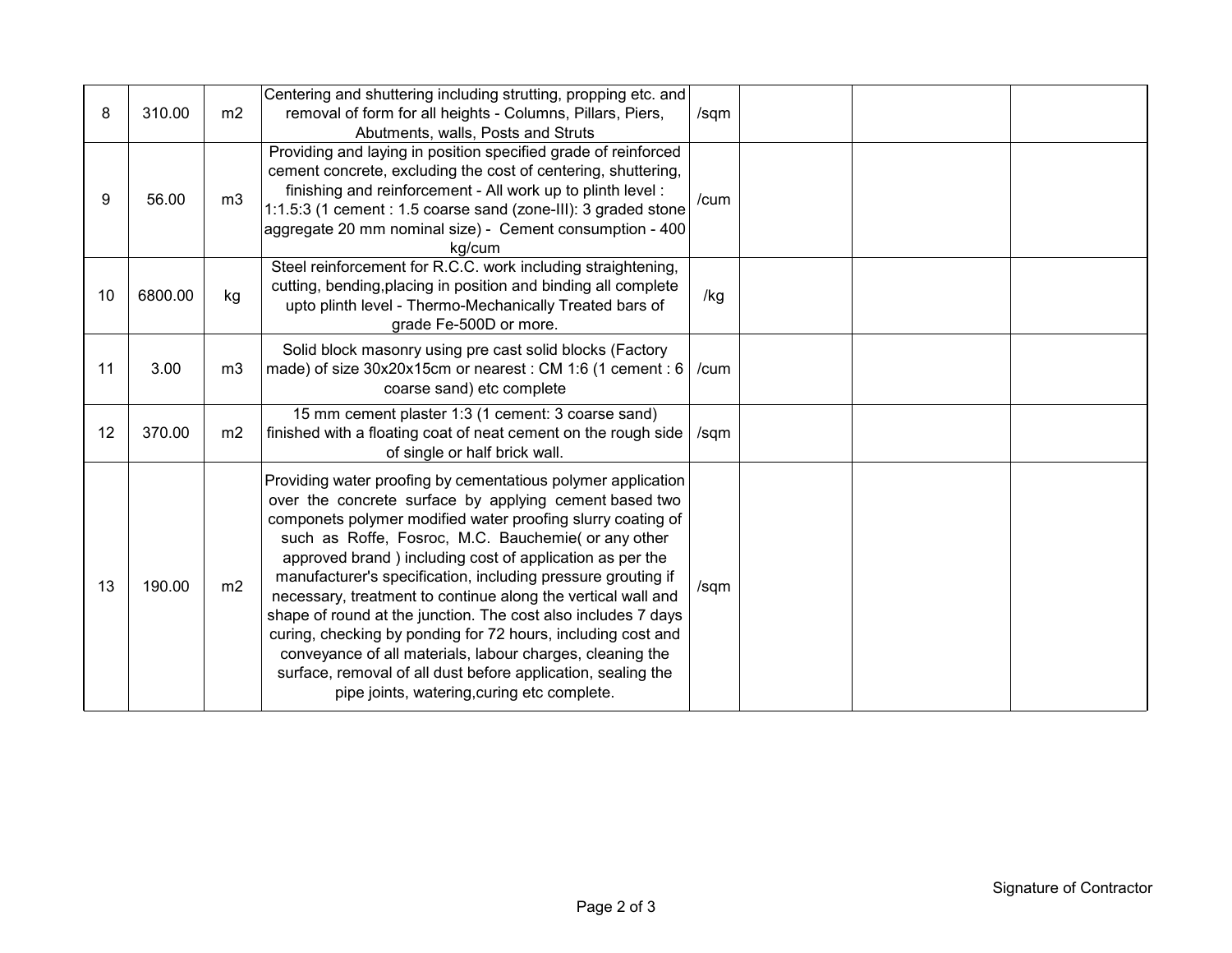| 8  | 310.00  | m2             | Centering and shuttering including strutting, propping etc. and<br>removal of form for all heights - Columns, Pillars, Piers,<br>Abutments, walls, Posts and Struts                                                                                                                                                                                                                                                                                                                                                                                                                                                                                                                                                                                   | /sqm |  |  |
|----|---------|----------------|-------------------------------------------------------------------------------------------------------------------------------------------------------------------------------------------------------------------------------------------------------------------------------------------------------------------------------------------------------------------------------------------------------------------------------------------------------------------------------------------------------------------------------------------------------------------------------------------------------------------------------------------------------------------------------------------------------------------------------------------------------|------|--|--|
| 9  | 56.00   | m <sub>3</sub> | Providing and laying in position specified grade of reinforced<br>cement concrete, excluding the cost of centering, shuttering,<br>finishing and reinforcement - All work up to plinth level:<br>1:1.5:3 (1 cement : 1.5 coarse sand (zone-III): 3 graded stone<br>aggregate 20 mm nominal size) - Cement consumption - 400<br>kg/cum                                                                                                                                                                                                                                                                                                                                                                                                                 | /cum |  |  |
| 10 | 6800.00 | kg             | Steel reinforcement for R.C.C. work including straightening,<br>cutting, bending, placing in position and binding all complete<br>upto plinth level - Thermo-Mechanically Treated bars of<br>grade Fe-500D or more.                                                                                                                                                                                                                                                                                                                                                                                                                                                                                                                                   | /kg  |  |  |
| 11 | 3.00    | m <sub>3</sub> | Solid block masonry using pre cast solid blocks (Factory<br>made) of size 30x20x15cm or nearest: CM 1:6 (1 cement: 6<br>coarse sand) etc complete                                                                                                                                                                                                                                                                                                                                                                                                                                                                                                                                                                                                     | /cum |  |  |
| 12 | 370.00  | m2             | 15 mm cement plaster 1:3 (1 cement: 3 coarse sand)<br>finished with a floating coat of neat cement on the rough side<br>of single or half brick wall.                                                                                                                                                                                                                                                                                                                                                                                                                                                                                                                                                                                                 | /sqm |  |  |
| 13 | 190.00  | m2             | Providing water proofing by cementatious polymer application<br>over the concrete surface by applying cement based two<br>componets polymer modified water proofing slurry coating of<br>such as Roffe, Fosroc, M.C. Bauchemie( or any other<br>approved brand) including cost of application as per the<br>manufacturer's specification, including pressure grouting if<br>necessary, treatment to continue along the vertical wall and<br>shape of round at the junction. The cost also includes 7 days<br>curing, checking by ponding for 72 hours, including cost and<br>conveyance of all materials, labour charges, cleaning the<br>surface, removal of all dust before application, sealing the<br>pipe joints, watering, curing etc complete. | /sqm |  |  |